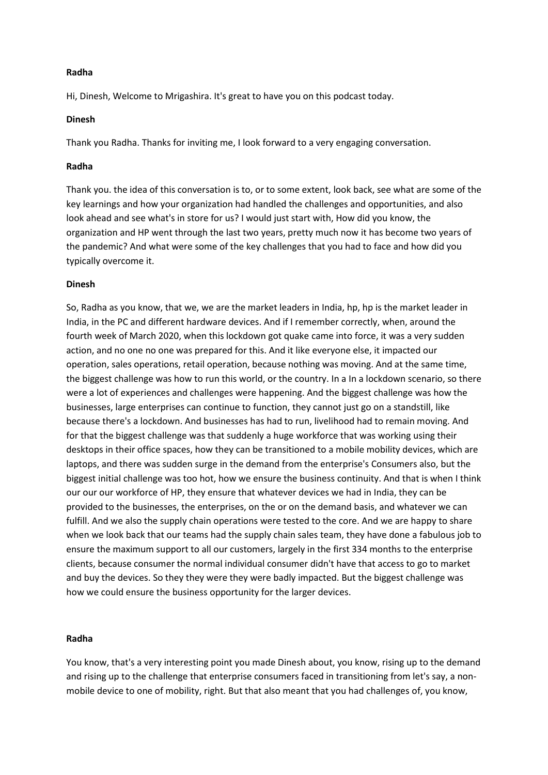### **Radha**

Hi, Dinesh, Welcome to Mrigashira. It's great to have you on this podcast today.

### **Dinesh**

Thank you Radha. Thanks for inviting me, I look forward to a very engaging conversation.

### **Radha**

Thank you. the idea of this conversation is to, or to some extent, look back, see what are some of the key learnings and how your organization had handled the challenges and opportunities, and also look ahead and see what's in store for us? I would just start with, How did you know, the organization and HP went through the last two years, pretty much now it has become two years of the pandemic? And what were some of the key challenges that you had to face and how did you typically overcome it.

#### **Dinesh**

So, Radha as you know, that we, we are the market leaders in India, hp, hp is the market leader in India, in the PC and different hardware devices. And if I remember correctly, when, around the fourth week of March 2020, when this lockdown got quake came into force, it was a very sudden action, and no one no one was prepared for this. And it like everyone else, it impacted our operation, sales operations, retail operation, because nothing was moving. And at the same time, the biggest challenge was how to run this world, or the country. In a In a lockdown scenario, so there were a lot of experiences and challenges were happening. And the biggest challenge was how the businesses, large enterprises can continue to function, they cannot just go on a standstill, like because there's a lockdown. And businesses has had to run, livelihood had to remain moving. And for that the biggest challenge was that suddenly a huge workforce that was working using their desktops in their office spaces, how they can be transitioned to a mobile mobility devices, which are laptops, and there was sudden surge in the demand from the enterprise's Consumers also, but the biggest initial challenge was too hot, how we ensure the business continuity. And that is when I think our our our workforce of HP, they ensure that whatever devices we had in India, they can be provided to the businesses, the enterprises, on the or on the demand basis, and whatever we can fulfill. And we also the supply chain operations were tested to the core. And we are happy to share when we look back that our teams had the supply chain sales team, they have done a fabulous job to ensure the maximum support to all our customers, largely in the first 334 months to the enterprise clients, because consumer the normal individual consumer didn't have that access to go to market and buy the devices. So they they were they were badly impacted. But the biggest challenge was how we could ensure the business opportunity for the larger devices.

## **Radha**

You know, that's a very interesting point you made Dinesh about, you know, rising up to the demand and rising up to the challenge that enterprise consumers faced in transitioning from let's say, a nonmobile device to one of mobility, right. But that also meant that you had challenges of, you know,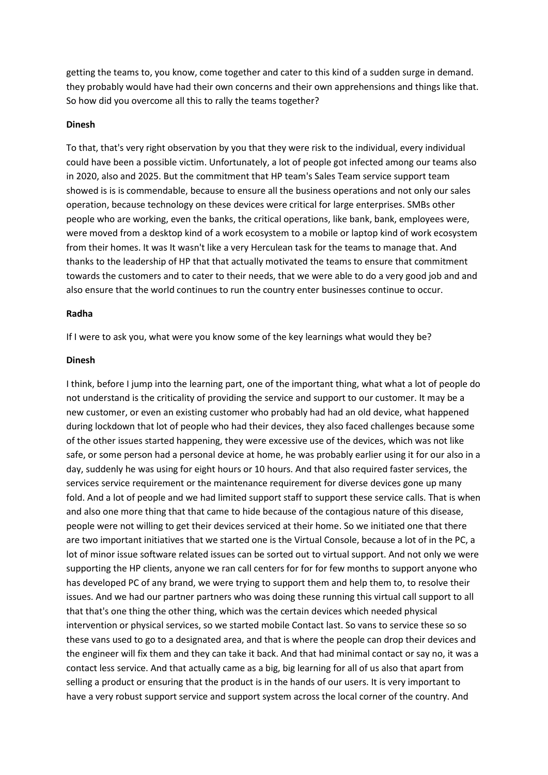getting the teams to, you know, come together and cater to this kind of a sudden surge in demand. they probably would have had their own concerns and their own apprehensions and things like that. So how did you overcome all this to rally the teams together?

### **Dinesh**

To that, that's very right observation by you that they were risk to the individual, every individual could have been a possible victim. Unfortunately, a lot of people got infected among our teams also in 2020, also and 2025. But the commitment that HP team's Sales Team service support team showed is is is commendable, because to ensure all the business operations and not only our sales operation, because technology on these devices were critical for large enterprises. SMBs other people who are working, even the banks, the critical operations, like bank, bank, employees were, were moved from a desktop kind of a work ecosystem to a mobile or laptop kind of work ecosystem from their homes. It was It wasn't like a very Herculean task for the teams to manage that. And thanks to the leadership of HP that that actually motivated the teams to ensure that commitment towards the customers and to cater to their needs, that we were able to do a very good job and and also ensure that the world continues to run the country enter businesses continue to occur.

### **Radha**

If I were to ask you, what were you know some of the key learnings what would they be?

# **Dinesh**

I think, before I jump into the learning part, one of the important thing, what what a lot of people do not understand is the criticality of providing the service and support to our customer. It may be a new customer, or even an existing customer who probably had had an old device, what happened during lockdown that lot of people who had their devices, they also faced challenges because some of the other issues started happening, they were excessive use of the devices, which was not like safe, or some person had a personal device at home, he was probably earlier using it for our also in a day, suddenly he was using for eight hours or 10 hours. And that also required faster services, the services service requirement or the maintenance requirement for diverse devices gone up many fold. And a lot of people and we had limited support staff to support these service calls. That is when and also one more thing that that came to hide because of the contagious nature of this disease, people were not willing to get their devices serviced at their home. So we initiated one that there are two important initiatives that we started one is the Virtual Console, because a lot of in the PC, a lot of minor issue software related issues can be sorted out to virtual support. And not only we were supporting the HP clients, anyone we ran call centers for for for few months to support anyone who has developed PC of any brand, we were trying to support them and help them to, to resolve their issues. And we had our partner partners who was doing these running this virtual call support to all that that's one thing the other thing, which was the certain devices which needed physical intervention or physical services, so we started mobile Contact last. So vans to service these so so these vans used to go to a designated area, and that is where the people can drop their devices and the engineer will fix them and they can take it back. And that had minimal contact or say no, it was a contact less service. And that actually came as a big, big learning for all of us also that apart from selling a product or ensuring that the product is in the hands of our users. It is very important to have a very robust support service and support system across the local corner of the country. And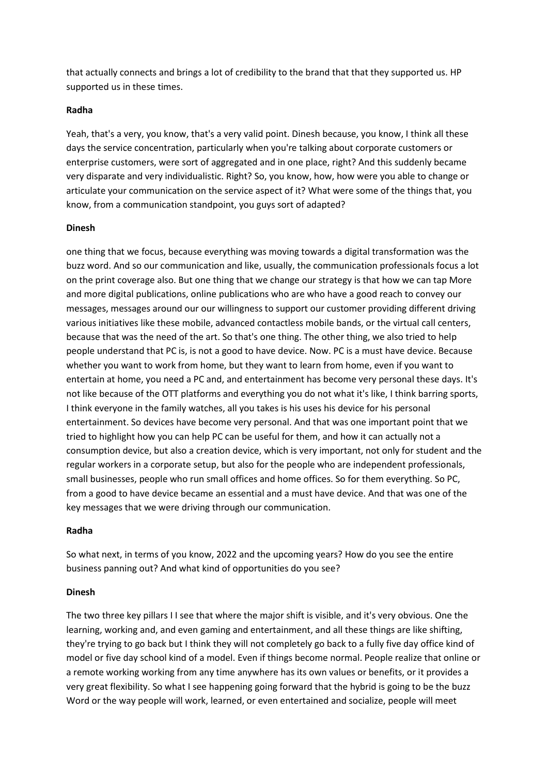that actually connects and brings a lot of credibility to the brand that that they supported us. HP supported us in these times.

# **Radha**

Yeah, that's a very, you know, that's a very valid point. Dinesh because, you know, I think all these days the service concentration, particularly when you're talking about corporate customers or enterprise customers, were sort of aggregated and in one place, right? And this suddenly became very disparate and very individualistic. Right? So, you know, how, how were you able to change or articulate your communication on the service aspect of it? What were some of the things that, you know, from a communication standpoint, you guys sort of adapted?

## **Dinesh**

one thing that we focus, because everything was moving towards a digital transformation was the buzz word. And so our communication and like, usually, the communication professionals focus a lot on the print coverage also. But one thing that we change our strategy is that how we can tap More and more digital publications, online publications who are who have a good reach to convey our messages, messages around our our willingness to support our customer providing different driving various initiatives like these mobile, advanced contactless mobile bands, or the virtual call centers, because that was the need of the art. So that's one thing. The other thing, we also tried to help people understand that PC is, is not a good to have device. Now. PC is a must have device. Because whether you want to work from home, but they want to learn from home, even if you want to entertain at home, you need a PC and, and entertainment has become very personal these days. It's not like because of the OTT platforms and everything you do not what it's like, I think barring sports, I think everyone in the family watches, all you takes is his uses his device for his personal entertainment. So devices have become very personal. And that was one important point that we tried to highlight how you can help PC can be useful for them, and how it can actually not a consumption device, but also a creation device, which is very important, not only for student and the regular workers in a corporate setup, but also for the people who are independent professionals, small businesses, people who run small offices and home offices. So for them everything. So PC, from a good to have device became an essential and a must have device. And that was one of the key messages that we were driving through our communication.

### **Radha**

So what next, in terms of you know, 2022 and the upcoming years? How do you see the entire business panning out? And what kind of opportunities do you see?

# **Dinesh**

The two three key pillars I I see that where the major shift is visible, and it's very obvious. One the learning, working and, and even gaming and entertainment, and all these things are like shifting, they're trying to go back but I think they will not completely go back to a fully five day office kind of model or five day school kind of a model. Even if things become normal. People realize that online or a remote working working from any time anywhere has its own values or benefits, or it provides a very great flexibility. So what I see happening going forward that the hybrid is going to be the buzz Word or the way people will work, learned, or even entertained and socialize, people will meet